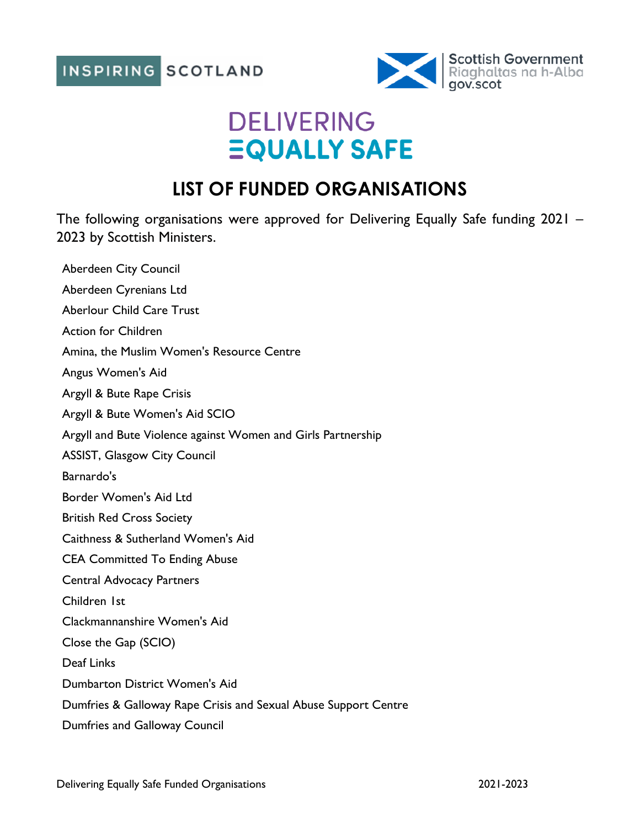

## **DELIVERING EQUALLY SAFE**

## **LIST OF FUNDED ORGANISATIONS**

The following organisations were approved for Delivering Equally Safe funding 2021 – 2023 by Scottish Ministers.

Aberdeen City Council Aberdeen Cyrenians Ltd Aberlour Child Care Trust Action for Children Amina, the Muslim Women's Resource Centre Angus Women's Aid Argyll & Bute Rape Crisis Argyll & Bute Women's Aid SCIO Argyll and Bute Violence against Women and Girls Partnership ASSIST, Glasgow City Council Barnardo's Border Women's Aid Ltd British Red Cross Society Caithness & Sutherland Women's Aid CEA Committed To Ending Abuse Central Advocacy Partners Children 1st Clackmannanshire Women's Aid Close the Gap (SCIO) Deaf Links Dumbarton District Women's Aid Dumfries & Galloway Rape Crisis and Sexual Abuse Support Centre Dumfries and Galloway Council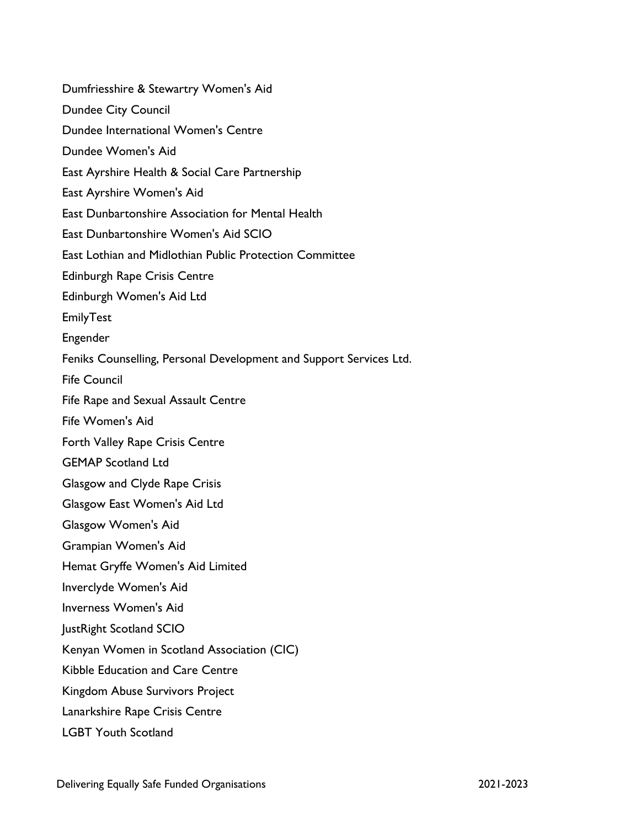Dumfriesshire & Stewartry Women's Aid Dundee City Council Dundee International Women's Centre Dundee Women's Aid East Ayrshire Health & Social Care Partnership East Ayrshire Women's Aid East Dunbartonshire Association for Mental Health East Dunbartonshire Women's Aid SCIO East Lothian and Midlothian Public Protection Committee Edinburgh Rape Crisis Centre Edinburgh Women's Aid Ltd EmilyTest Engender Feniks Counselling, Personal Development and Support Services Ltd. Fife Council Fife Rape and Sexual Assault Centre Fife Women's Aid Forth Valley Rape Crisis Centre GEMAP Scotland Ltd Glasgow and Clyde Rape Crisis Glasgow East Women's Aid Ltd Glasgow Women's Aid Grampian Women's Aid Hemat Gryffe Women's Aid Limited Inverclyde Women's Aid Inverness Women's Aid JustRight Scotland SCIO Kenyan Women in Scotland Association (CIC) Kibble Education and Care Centre Kingdom Abuse Survivors Project Lanarkshire Rape Crisis Centre LGBT Youth Scotland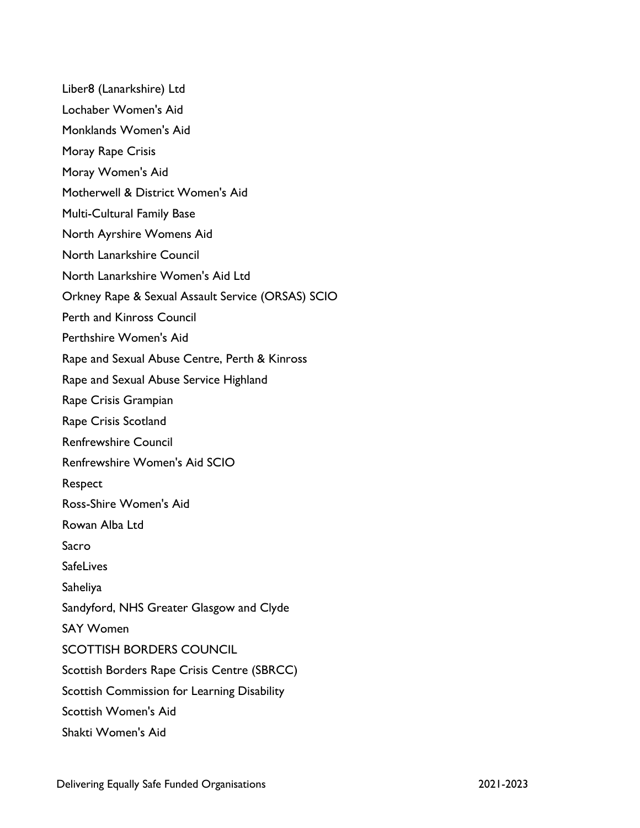Liber8 (Lanarkshire) Ltd Lochaber Women's Aid Monklands Women's Aid Moray Rape Crisis Moray Women's Aid Motherwell & District Women's Aid Multi-Cultural Family Base North Ayrshire Womens Aid North Lanarkshire Council North Lanarkshire Women's Aid Ltd Orkney Rape & Sexual Assault Service (ORSAS) SCIO Perth and Kinross Council Perthshire Women's Aid Rape and Sexual Abuse Centre, Perth & Kinross Rape and Sexual Abuse Service Highland Rape Crisis Grampian Rape Crisis Scotland Renfrewshire Council Renfrewshire Women's Aid SCIO Respect Ross-Shire Women's Aid Rowan Alba Ltd Sacro **SafeLives** Saheliya Sandyford, NHS Greater Glasgow and Clyde SAY Women SCOTTISH BORDERS COUNCIL Scottish Borders Rape Crisis Centre (SBRCC) Scottish Commission for Learning Disability Scottish Women's Aid Shakti Women's Aid